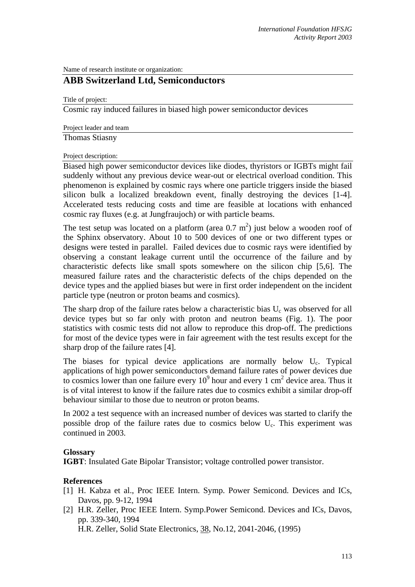Name of research institute or organization:

## **ABB Switzerland Ltd, Semiconductors**

Title of project:

Cosmic ray induced failures in biased high power semiconductor devices

Project leader and team

Thomas Stiasny

Project description:

Biased high power semiconductor devices like diodes, thyristors or IGBTs might fail suddenly without any previous device wear-out or electrical overload condition. This phenomenon is explained by cosmic rays where one particle triggers inside the biased silicon bulk a localized breakdown event, finally destroying the devices [1-4]. Accelerated tests reducing costs and time are feasible at locations with enhanced cosmic ray fluxes (e.g. at Jungfraujoch) or with particle beams.

The test setup was located on a platform (area  $0.7 \text{ m}^2$ ) just below a wooden roof of the Sphinx observatory. About 10 to 500 devices of one or two different types or designs were tested in parallel. Failed devices due to cosmic rays were identified by observing a constant leakage current until the occurrence of the failure and by characteristic defects like small spots somewhere on the silicon chip [5,6]. The measured failure rates and the characteristic defects of the chips depended on the device types and the applied biases but were in first order independent on the incident particle type (neutron or proton beams and cosmics).

The sharp drop of the failure rates below a characteristic bias  $U_c$  was observed for all device types but so far only with proton and neutron beams (Fig. 1). The poor statistics with cosmic tests did not allow to reproduce this drop-off. The predictions for most of the device types were in fair agreement with the test results except for the sharp drop of the failure rates [4].

The biases for typical device applications are normally below  $U_c$ . Typical applications of high power semiconductors demand failure rates of power devices due to cosmics lower than one failure every  $10^9$  hour and every 1 cm<sup>2</sup> device area. Thus it is of vital interest to know if the failure rates due to cosmics exhibit a similar drop-off behaviour similar to those due to neutron or proton beams.

In 2002 a test sequence with an increased number of devices was started to clarify the possible drop of the failure rates due to cosmics below  $U_c$ . This experiment was continued in 2003.

## **Glossary**

**IGBT**: Insulated Gate Bipolar Transistor; voltage controlled power transistor.

## **References**

- [1] H. Kabza et al., Proc IEEE Intern. Symp. Power Semicond. Devices and ICs, Davos, pp. 9-12, 1994
- [2] H.R. Zeller, Proc IEEE Intern. Symp.Power Semicond. Devices and ICs, Davos, pp. 339-340, 1994

H.R. Zeller, Solid State Electronics, 38, No.12, 2041-2046, (1995)